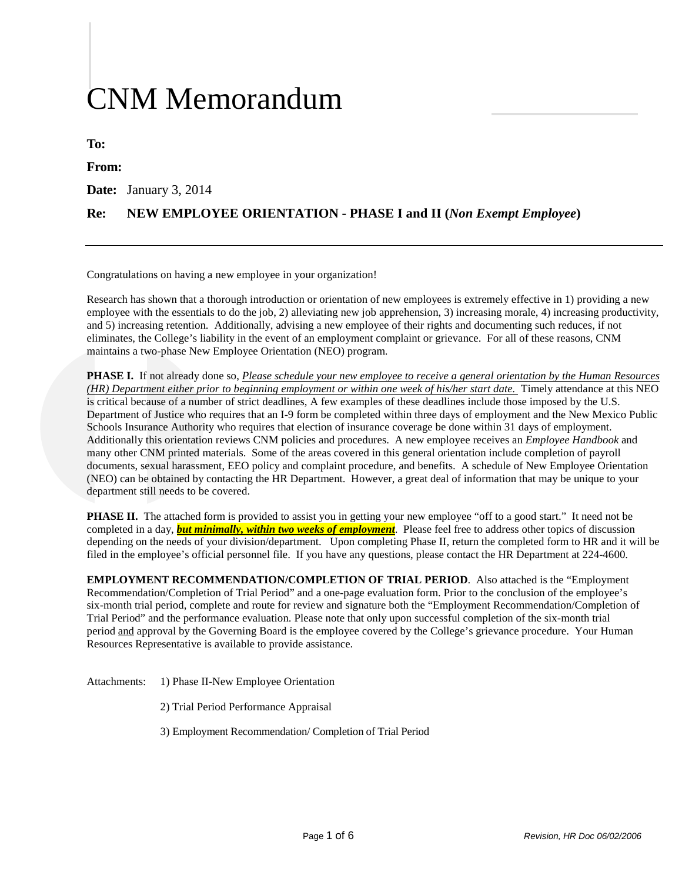# CNM Memorandum

**To:**

**From:**

**Date:** January 3, 2014

### **Re: NEW EMPLOYEE ORIENTATION - PHASE I and II (***Non Exempt Employee***)**

Congratulations on having a new employee in your organization!

Research has shown that a thorough introduction or orientation of new employees is extremely effective in 1) providing a new employee with the essentials to do the job, 2) alleviating new job apprehension, 3) increasing morale, 4) increasing productivity, and 5) increasing retention. Additionally, advising a new employee of their rights and documenting such reduces, if not eliminates, the College's liability in the event of an employment complaint or grievance. For all of these reasons, CNM maintains a two-phase New Employee Orientation (NEO) program.

**PHASE I.** If not already done so, *Please schedule your new employee to receive a general orientation by the Human Resources (HR) Department either prior to beginning employment or within one week of his/her start date.* Timely attendance at this NEO is critical because of a number of strict deadlines, A few examples of these deadlines include those imposed by the U.S. Department of Justice who requires that an I-9 form be completed within three days of employment and the New Mexico Public Schools Insurance Authority who requires that election of insurance coverage be done within 31 days of employment. Additionally this orientation reviews CNM policies and procedures. A new employee receives an *Employee Handbook* and many other CNM printed materials. Some of the areas covered in this general orientation include completion of payroll documents, sexual harassment, EEO policy and complaint procedure, and benefits. A schedule of New Employee Orientation (NEO) can be obtained by contacting the HR Department. However, a great deal of information that may be unique to your department still needs to be covered.

**PHASE II.** The attached form is provided to assist you in getting your new employee "off to a good start." It need not be completed in a day, *but minimally, within two weeks of employment*. Please feel free to address other topics of discussion depending on the needs of your division/department. Upon completing Phase II, return the completed form to HR and it will be filed in the employee's official personnel file. If you have any questions, please contact the HR Department at 224-4600.

**EMPLOYMENT RECOMMENDATION/COMPLETION OF TRIAL PERIOD**. Also attached is the "Employment Recommendation/Completion of Trial Period" and a one-page evaluation form. Prior to the conclusion of the employee's six-month trial period, complete and route for review and signature both the "Employment Recommendation/Completion of Trial Period" and the performance evaluation. Please note that only upon successful completion of the six-month trial period and approval by the Governing Board is the employee covered by the College's grievance procedure. Your Human Resources Representative is available to provide assistance.

Attachments: 1) Phase II-New Employee Orientation

- 2) Trial Period Performance Appraisal
- 3) Employment Recommendation/ Completion of Trial Period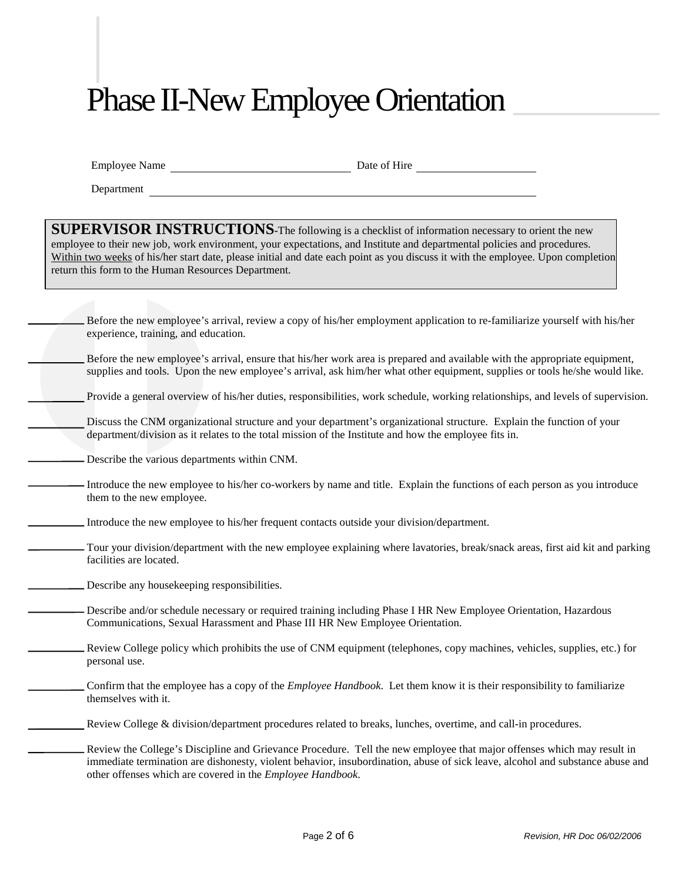# Phase II-New Employee Orientation

|  | <b>Employee Name</b> |
|--|----------------------|
|  |                      |

Date of Hire

Department

**SUPERVISOR INSTRUCTIONS-**The following is a checklist of information necessary to orient the new employee to their new job, work environment, your expectations, and Institute and departmental policies and procedures. Within two weeks of his/her start date, please initial and date each point as you discuss it with the employee. Upon completion return this form to the Human Resources Department.

| Before the new employee's arrival, review a copy of his/her employment application to re-familiarize yourself with his/her<br>experience, training, and education.                                                                                                                                                    |
|-----------------------------------------------------------------------------------------------------------------------------------------------------------------------------------------------------------------------------------------------------------------------------------------------------------------------|
| Before the new employee's arrival, ensure that his/her work area is prepared and available with the appropriate equipment,<br>supplies and tools. Upon the new employee's arrival, ask him/her what other equipment, supplies or tools he/she would like.                                                             |
| Provide a general overview of his/her duties, responsibilities, work schedule, working relationships, and levels of supervision.                                                                                                                                                                                      |
| Discuss the CNM organizational structure and your department's organizational structure. Explain the function of your<br>department/division as it relates to the total mission of the Institute and how the employee fits in.                                                                                        |
| Describe the various departments within CNM.                                                                                                                                                                                                                                                                          |
| Introduce the new employee to his/her co-workers by name and title. Explain the functions of each person as you introduce<br>them to the new employee.                                                                                                                                                                |
| Introduce the new employee to his/her frequent contacts outside your division/department.                                                                                                                                                                                                                             |
| Tour your division/department with the new employee explaining where lavatories, break/snack areas, first aid kit and parking<br>facilities are located.                                                                                                                                                              |
| Describe any house keeping responsibilities.                                                                                                                                                                                                                                                                          |
| Describe and/or schedule necessary or required training including Phase I HR New Employee Orientation, Hazardous<br>Communications, Sexual Harassment and Phase III HR New Employee Orientation.                                                                                                                      |
| Review College policy which prohibits the use of CNM equipment (telephones, copy machines, vehicles, supplies, etc.) for<br>personal use.                                                                                                                                                                             |
| Confirm that the employee has a copy of the <i>Employee Handbook</i> . Let them know it is their responsibility to familiarize<br>themselves with it.                                                                                                                                                                 |
| Review College & division/department procedures related to breaks, lunches, overtime, and call-in procedures.                                                                                                                                                                                                         |
| Review the College's Discipline and Grievance Procedure. Tell the new employee that major offenses which may result in<br>immediate termination are dishonesty, violent behavior, insubordination, abuse of sick leave, alcohol and substance abuse and<br>other offenses which are covered in the Employee Handbook. |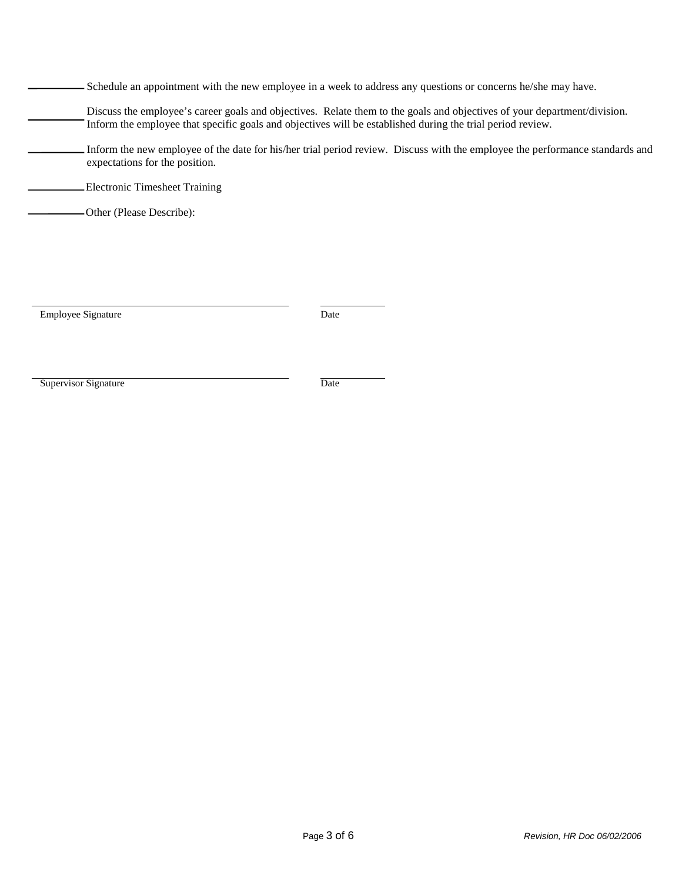| - Schedule an appointment with the new employee in a week to address any questions or concerns he/she may have. |  |  |
|-----------------------------------------------------------------------------------------------------------------|--|--|
|                                                                                                                 |  |  |
|                                                                                                                 |  |  |

- Discuss the employee's career goals and objectives. Relate them to the goals and objectives of your department/division. Inform the employee that specific goals and objectives will be established during the trial period review.
- Inform the new employee of the date for his/her trial period review. Discuss with the employee the performance standards and expectations for the position.

Electronic Timesheet Training

Other (Please Describe):

Employee Signature Date

Supervisor Signature Date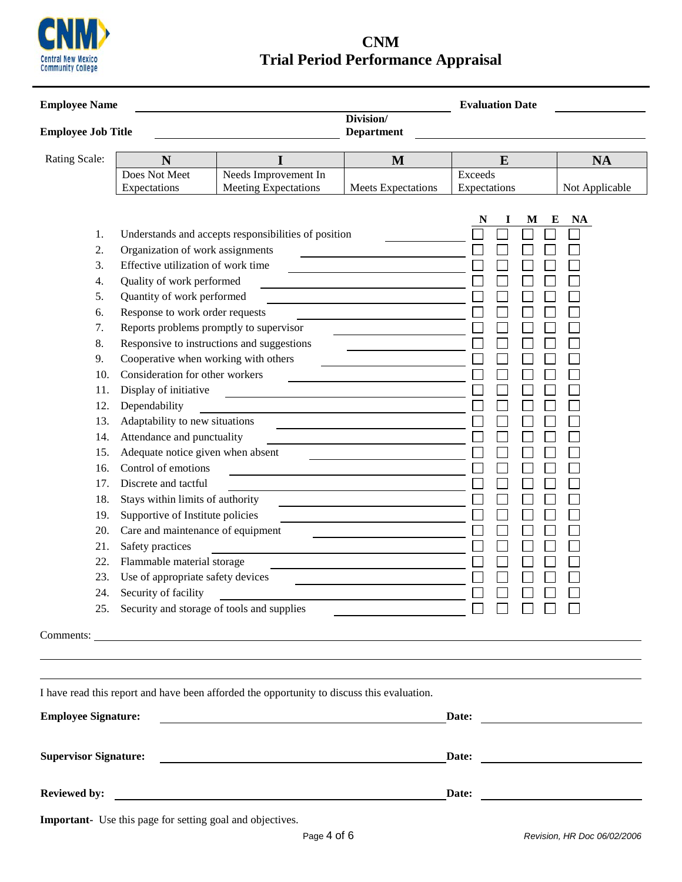

**CNM Trial Period Performance Appraisal**

| <b>Employee Name</b>                                                                                                                                |                                                                     |                                                                                            | <b>Evaluation Date</b>                                                                                                 |              |                                                                                                                      |
|-----------------------------------------------------------------------------------------------------------------------------------------------------|---------------------------------------------------------------------|--------------------------------------------------------------------------------------------|------------------------------------------------------------------------------------------------------------------------|--------------|----------------------------------------------------------------------------------------------------------------------|
| Division/<br><b>Employee Job Title</b><br><b>Department</b>                                                                                         |                                                                     |                                                                                            |                                                                                                                        |              |                                                                                                                      |
| Rating Scale:                                                                                                                                       | N                                                                   | I                                                                                          | M                                                                                                                      | E            | <b>NA</b>                                                                                                            |
|                                                                                                                                                     | Does Not Meet                                                       | Needs Improvement In                                                                       |                                                                                                                        | Exceeds      |                                                                                                                      |
|                                                                                                                                                     | Expectations                                                        | <b>Meeting Expectations</b>                                                                | <b>Meets Expectations</b>                                                                                              | Expectations | Not Applicable                                                                                                       |
| 1.                                                                                                                                                  |                                                                     | Understands and accepts responsibilities of position                                       |                                                                                                                        | M            | E<br><b>NA</b>                                                                                                       |
| 2.                                                                                                                                                  | Organization of work assignments                                    |                                                                                            |                                                                                                                        |              |                                                                                                                      |
| 3.                                                                                                                                                  | Effective utilization of work time                                  |                                                                                            |                                                                                                                        |              |                                                                                                                      |
| 4.                                                                                                                                                  | Quality of work performed                                           |                                                                                            | <u> 1989 - Johann Barn, mars ann an t-Amhain ann an t-Amhain an t-Amhain an t-Amhain an t-Amhain an t-Amhain an t-</u> |              |                                                                                                                      |
| 6.                                                                                                                                                  | Quantity of work performed<br>5.<br>Response to work order requests |                                                                                            |                                                                                                                        |              |                                                                                                                      |
| 7.                                                                                                                                                  |                                                                     | Reports problems promptly to supervisor                                                    |                                                                                                                        |              |                                                                                                                      |
| 8.                                                                                                                                                  |                                                                     | Responsive to instructions and suggestions                                                 |                                                                                                                        |              |                                                                                                                      |
| 9.                                                                                                                                                  |                                                                     | Cooperative when working with others                                                       |                                                                                                                        |              |                                                                                                                      |
| 10.                                                                                                                                                 | Consideration for other workers                                     |                                                                                            |                                                                                                                        |              |                                                                                                                      |
| 11.                                                                                                                                                 | Display of initiative                                               |                                                                                            |                                                                                                                        |              |                                                                                                                      |
| 12.                                                                                                                                                 | Dependability                                                       |                                                                                            | <u> 1989 - Johann Harry Barn, mars ar breist fan de Amerikaansk kommunent fan de Amerikaanske kommunent fan de A</u>   |              |                                                                                                                      |
| 13.                                                                                                                                                 | Adaptability to new situations                                      |                                                                                            |                                                                                                                        |              |                                                                                                                      |
| 14.                                                                                                                                                 | Attendance and punctuality                                          |                                                                                            |                                                                                                                        |              |                                                                                                                      |
| 15.                                                                                                                                                 | Adequate notice given when absent                                   |                                                                                            |                                                                                                                        |              |                                                                                                                      |
| 16.                                                                                                                                                 | Control of emotions                                                 |                                                                                            |                                                                                                                        |              |                                                                                                                      |
| 17.                                                                                                                                                 | Discrete and tactful                                                |                                                                                            |                                                                                                                        |              |                                                                                                                      |
| 18.                                                                                                                                                 | Stays within limits of authority                                    |                                                                                            |                                                                                                                        |              |                                                                                                                      |
| Supportive of Institute policies<br>19.<br>Care and maintenance of equipment<br>20.<br>21.<br>Safety practices<br>Flammable material storage<br>22. |                                                                     |                                                                                            |                                                                                                                        |              |                                                                                                                      |
|                                                                                                                                                     |                                                                     |                                                                                            |                                                                                                                        |              |                                                                                                                      |
|                                                                                                                                                     |                                                                     |                                                                                            |                                                                                                                        |              |                                                                                                                      |
|                                                                                                                                                     |                                                                     |                                                                                            |                                                                                                                        |              |                                                                                                                      |
| 23.                                                                                                                                                 | Use of appropriate safety devices                                   |                                                                                            |                                                                                                                        |              |                                                                                                                      |
|                                                                                                                                                     | 24. Security of facility                                            |                                                                                            |                                                                                                                        |              |                                                                                                                      |
|                                                                                                                                                     |                                                                     | 25. Security and storage of tools and supplies                                             |                                                                                                                        |              |                                                                                                                      |
|                                                                                                                                                     |                                                                     |                                                                                            |                                                                                                                        |              |                                                                                                                      |
|                                                                                                                                                     |                                                                     |                                                                                            |                                                                                                                        |              |                                                                                                                      |
|                                                                                                                                                     |                                                                     |                                                                                            |                                                                                                                        |              |                                                                                                                      |
|                                                                                                                                                     |                                                                     |                                                                                            |                                                                                                                        |              |                                                                                                                      |
|                                                                                                                                                     |                                                                     | I have read this report and have been afforded the opportunity to discuss this evaluation. |                                                                                                                        |              |                                                                                                                      |
| <b>Employee Signature:</b>                                                                                                                          |                                                                     |                                                                                            | Date:                                                                                                                  |              |                                                                                                                      |
| <b>Supervisor Signature:</b>                                                                                                                        |                                                                     |                                                                                            |                                                                                                                        | Date:        | <u> 1980 - Andrea Britain, politik eta politik eta politik eta politik eta politik eta politik eta politik eta p</u> |
|                                                                                                                                                     |                                                                     |                                                                                            |                                                                                                                        |              |                                                                                                                      |
| <b>Reviewed by:</b>                                                                                                                                 |                                                                     | <u> 1989 - Johann Barbara, martxa alemaniar arg</u>                                        |                                                                                                                        | Date:        | <u> 1980 - Jan James James Barbara, president politik (</u>                                                          |

**Important-** Use this page for setting goal and objectives.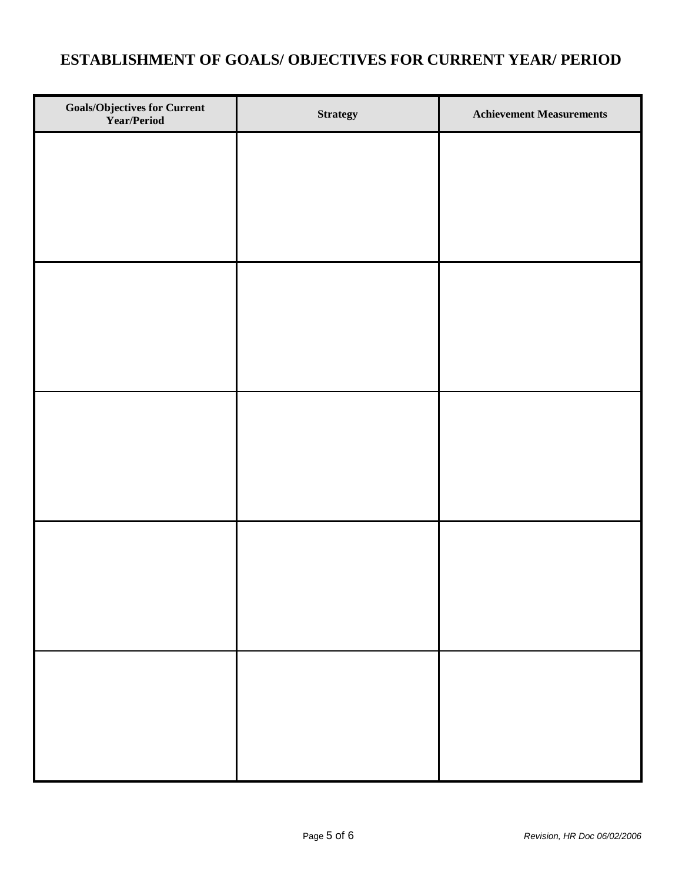## **ESTABLISHMENT OF GOALS/ OBJECTIVES FOR CURRENT YEAR/ PERIOD**

| <b>Goals/Objectives for Current Year/Period</b> | <b>Strategy</b> | <b>Achievement Measurements</b> |
|-------------------------------------------------|-----------------|---------------------------------|
|                                                 |                 |                                 |
|                                                 |                 |                                 |
|                                                 |                 |                                 |
|                                                 |                 |                                 |
|                                                 |                 |                                 |
|                                                 |                 |                                 |
|                                                 |                 |                                 |
|                                                 |                 |                                 |
|                                                 |                 |                                 |
|                                                 |                 |                                 |
|                                                 |                 |                                 |
|                                                 |                 |                                 |
|                                                 |                 |                                 |
|                                                 |                 |                                 |
|                                                 |                 |                                 |
|                                                 |                 |                                 |
|                                                 |                 |                                 |
|                                                 |                 |                                 |